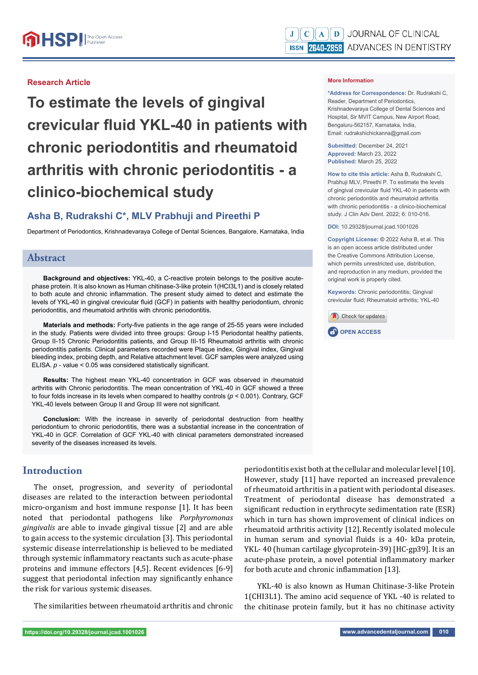### **Research Article**

**To estimate the levels of gingival crevicular fl uid YKL-40 in patients with chronic periodontitis and rheumatoid arthritis with chronic periodontitis - a clinico-biochemical study**

# **Asha B, Rudrakshi C\*, MLV Prabhuji and Pireethi P**

Department of Periodontics, Krishnadevaraya College of Dental Sciences, Bangalore, Karnataka, India

# **Abstract**

**Background and objectives:** YKL-40, a C-reactive protein belongs to the positive acutephase protein. It is also known as Human chitinase-3-like protein 1(HCI3L1) and is closely related to both acute and chronic inflammation. The present study aimed to detect and estimate the levels of YKL-40 in gingival crevicular fluid (GCF) in patients with healthy periodontium, chronic periodontitis, and rheumatoid arthritis with chronic periodontitis.

**Materials and methods:** Forty-five patients in the age range of 25-55 years were included in the study. Patients were divided into three groups: Group I-15 Periodontal healthy patients, Group II-15 Chronic Periodontitis patients, and Group III-15 Rheumatoid arthritis with chronic periodontitis patients. Clinical parameters recorded were Plaque index, Gingival index, Gingival bleeding index, probing depth, and Relative attachment level. GCF samples were analyzed using ELISA. *p* - value < 0.05 was considered statistically significant.

**Results:** The highest mean YKL-40 concentration in GCF was observed in rheumatoid arthritis with Chronic periodontitis. The mean concentration of YKL-40 in GCF showed a three to four folds increase in its levels when compared to healthy controls (*p* < 0.001). Contrary, GCF YKL-40 levels between Group II and Group III were not significant.

**Conclusion:** With the increase in severity of periodontal destruction from healthy periodontium to chronic periodontitis, there was a substantial increase in the concentration of YKL-40 in GCF. Correlation of GCF YKL-40 with clinical parameters demonstrated increased severity of the diseases increased its levels.

# **Introduction**

The onset, progression, and severity of periodontal diseases are related to the interaction between periodontal micro-organism and host immune response [1]. It has been noted that periodontal pathogens like *Porphyromonas gingivalis* are able to invade gingival tissue [2] and are able to gain access to the systemic circulation [3]. This periodontal systemic disease interrelationship is believed to be mediated through systemic inflammatory reactants such as acute-phase proteins and immune effectors [4,5]. Recent evidences [6-9] suggest that periodontal infection may significantly enhance the risk for various systemic diseases.

The similarities between rheumatoid arthritis and chronic

**More Information** 

**\*Address for Correspondence:** Dr. Rudrakshi C, Reader, Department of Periodontics, Krishnadevaraya College of Dental Sciences and Hospital, Sir MVIT Campus, New Airport Road, Bengaluru-562157, Karnataka, India, Email: rudrakshichickanna@gmail.com

**Submitted:** December 24, 2021 **Approved:** March 23, 2022 **Published:** March 25, 2022

**How to cite this article:** Asha B, Rudrakshi C, Prabhuji MLV, Pireethi P. To estimate the levels of gingival crevicular fluid YKL-40 in patients with chronic periodontitis and rheumatoid arthritis with chronic periodontitis - a clinico-biochemical study. J Clin Adv Dent. 2022; 6: 010-016.

**DOI:** 10.29328/journal.jcad.1001026

**Copyright License: ©** 2022 Asha B, et al. This is an open access article distributed under the Creative Commons Attribution License, which permits unrestricted use, distribution, and reproduction in any medium, provided the original work is properly cited.

**Keywords:** Chronic periodontitis; Gingival crevicular fluid: Rheumatoid arthritis: YKL-40





periodontitis exist both at the cellular and molecular level [10]. However, study [11] have reported an increased prevalence of rheumatoid arthritis in a patient with periodontal diseases. Treatment of periodontal disease has demonstrated a significant reduction in erythrocyte sedimentation rate (ESR) which in turn has shown improvement of clinical indices on rheumatoid arthritis activity [12]. Recently isolated molecule in human serum and synovial fluids is a 40- kDa protein, YKL- 40 (human cartilage glycoprotein-39) [HC-gp39]. It is an acute-phase protein, a novel potential inflammatory marker for both acute and chronic inflammation [13].

YKL-40 is also known as Human Chitinase-3-like Protein 1(CHI3L1). The amino acid sequence of YKL -40 is related to the chitinase protein family, but it has no chitinase activity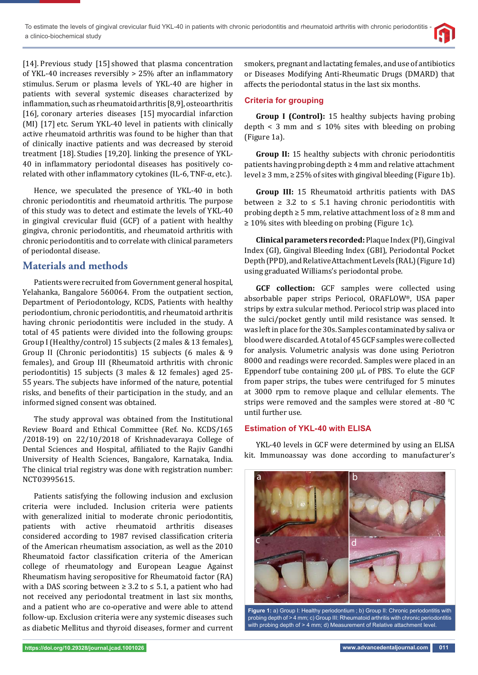[14]. Previous study [15] showed that plasma concentration of YKL-40 increases reversibly > 25% after an inflammatory stimulus. Serum or plasma levels of YKL-40 are higher in patients with several systemic diseases characterized by inflammation, such as rheumatoid arthritis [8,9], osteoarthritis [16], coronary arteries diseases [15] myocardial infarction (MI) [17] etc. Serum YKL-40 level in patients with clinically active rheumatoid arthritis was found to be higher than that of clinically inactive patients and was decreased by steroid treatment [18]. Studies [19,20]. linking the presence of YKL-40 in inflammatory periodontal diseases has positively corelated with other inflammatory cytokines (IL-6, TNF- $\alpha$ , etc.).

Hence, we speculated the presence of YKL-40 in both chronic periodontitis and rheumatoid arthritis. The purpose of this study was to detect and estimate the levels of YKL-40 in gingival crevicular fluid (GCF) of a patient with healthy gingiva, chronic periodontitis, and rheumatoid arthritis with chronic periodontitis and to correlate with clinical parameters of periodontal disease.

# **Materials and methods**

Patients were recruited from Government general hospital, Yelahanka, Bangalore 560064. From the outpatient section, Department of Periodontology, KCDS, Patients with healthy periodontium, chronic periodontitis, and rheumatoid arthritis having chronic periodontitis were included in the study. A total of 45 patients were divided into the following groups: Group I (Healthy/control) 15 subjects (2 males & 13 females), Group II (Chronic periodontitis) 15 subjects (6 males & 9 females), and Group III (Rheumatoid arthritis with chronic periodontitis) 15 subjects (3 males & 12 females) aged 25- 55 years. The subjects have informed of the nature, potential risks, and benefits of their participation in the study, and an informed signed consent was obtained.

The study approval was obtained from the Institutional Review Board and Ethical Committee (Ref. No. KCDS/165 /2018-19) on 22/10/2018 of Krishnadevaraya College of Dental Sciences and Hospital, affiliated to the Rajiv Gandhi University of Health Sciences, Bangalore, Karnataka, India. The clinical trial registry was done with registration number: NCT03995615.

Patients satisfying the following inclusion and exclusion criteria were included. Inclusion criteria were patients with generalized initial to moderate chronic periodontitis, patients with active rheumatoid arthritis diseases considered according to 1987 revised classification criteria of the American rheumatism association, as well as the 2010 Rheumatoid factor classification criteria of the American college of rheumatology and European League Against Rheumatism having seropositive for Rheumatoid factor (RA) with a DAS scoring between  $\geq 3.2$  to  $\leq 5.1$ , a patient who had not received any periodontal treatment in last six months, and a patient who are co-operative and were able to attend follow-up. Exclusion criteria were any systemic diseases such as diabetic Mellitus and thyroid diseases, former and current

smokers, pregnant and lactating females, and use of antibiotics or Diseases Modifying Anti-Rheumatic Drugs (DMARD) that affects the periodontal status in the last six months.

# **Criteria for grouping**

**Group I (Control):** 15 healthy subjects having probing depth < 3 mm and  $\leq 10\%$  sites with bleeding on probing (Figure 1a).

**Group II:** 15 healthy subjects with chronic periodontitis patients having probing depth  $\geq 4$  mm and relative attachment level ≥ 3 mm, ≥ 25% of sites with gingival bleeding (Figure 1b).

**Group III:** 15 Rheumatoid arthritis patients with DAS between  $\geq$  3.2 to  $\leq$  5.1 having chronic periodontitis with probing depth  $\geq 5$  mm, relative attachment loss of  $\geq 8$  mm and ≥ 10% sites with bleeding on probing (Figure 1c).

**Clinical parameters recorded:** Plaque Index (PI), Gingival Index (GI), Gingival Bleeding Index (GBI), Periodontal Pocket Depth (PPD), and Relative Attachment Levels (RAL) (Figure 1d) using graduated Williams's periodontal probe.

**GCF collection:** GCF samples were collected using absorbable paper strips Periocol, ORAFLOW®, USA paper strips by extra sulcular method. Periocol strip was placed into the sulci/pocket gently until mild resistance was sensed. It was left in place for the 30s. Samples contaminated by saliva or blood were discarded. A total of 45 GCF samples were collected for analysis. Volumetric analysis was done using Periotron 8000 and readings were recorded. Samples were placed in an Eppendorf tube containing 200 μL of PBS. To elute the GCF from paper strips, the tubes were centrifuged for 5 minutes at 3000 rpm to remove plaque and cellular elements. The strips were removed and the samples were stored at -80 $\,^0$ C until further use.

## **Estimation of YKL-40 with ELISA**

YKL-40 levels in GCF were determined by using an ELISA kit. Immunoassay was done according to manufacturer's



**Figure 1:** a) Group I: Healthy periodontium ; b) Group II: Chronic periodontitis with probing depth of > 4 mm; c) Group III: Rheumatoid arthritis with chronic periodontitis with probing depth of > 4 mm; d) Measurement of Relative attachment level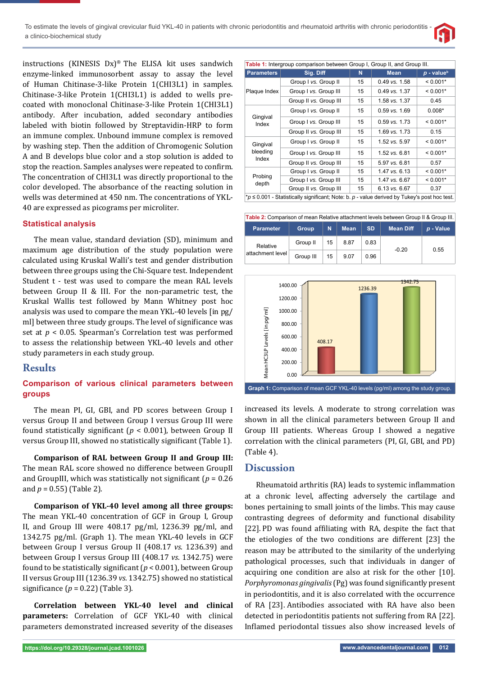To estimate the levels of gingival crevicular fluid YKL-40 in patients with chronic periodontitis and rheumatoid arthritis with chronic periodontitis a clinico-biochemical study



instructions (KINESIS Dx)® The ELISA kit uses sandwich enzyme-linked immunosorbent assay to assay the level of Human Chitinase-3-like Protein 1(CHI3L1) in samples. Chitinase-3-like Protein 1(CHI3L1) is added to wells precoated with monoclonal Chitinase-3-like Protein 1(CHI3L1) antibody. After incubation, added secondary antibodies labeled with biotin followed by Streptavidin-HRP to form an immune complex. Unbound immune complex is removed by washing step. Then the addition of Chromogenic Solution A and B develops blue color and a stop solution is added to stop the reaction. Samples analyses were repeated to confirm. The concentration of CHI3L1 was directly proportional to the color developed. The absorbance of the reacting solution in wells was determined at 450 nm. The concentrations of YKL-40 are expressed as picograms per microliter.

#### **Statistical analysis**

The mean value, standard deviation (SD), minimum and maximum age distribution of the study population were calculated using Kruskal Walli's test and gender distribution between three groups using the Chi-Square test. Independent Student t - test was used to compare the mean RAL levels between Group II & III. For the non-parametric test, the Kruskal Wallis test followed by Mann Whitney post hoc analysis was used to compare the mean YKL-40 levels [in pg/ ml] between three study groups. The level of significance was set at *p* < 0.05. Spearman's Correlation test was performed to assess the relationship between YKL-40 levels and other study parameters in each study group.

# **Results**

## **Comparison of various clinical parameters between groups**

The mean PI, GI, GBI, and PD scores between Group I versus Group II and between Group I versus Group III were found statistically significant ( $p < 0.001$ ), between Group II versus Group III, showed no statistically significant (Table 1).

**Comparison of RAL between Group II and Group III:** The mean RAL score showed no difference between GroupII and GroupIII, which was statistically not significant ( $p = 0.26$ ) and *p* = 0.55) (Table 2).

**Comparison of YKL-40 level among all three groups:** The mean YKL-40 concentration of GCF in Group I, Group II, and Group III were 408.17 pg/ml, 1236.39 pg/ml, and 1342.75 pg/ml. (Graph 1). The mean YKL-40 levels in GCF between Group I versus Group II (408.17 *vs*. 1236.39) and between Group I versus Group III (408.17 *vs*. 1342.75) were found to be statistically significant ( $p < 0.001$ ), between Group II versus Group III (1236.39 *vs*. 1342.75) showed no statistical significance  $(p = 0.22)$  (Table 3).

**Correlation between YKL-40 level and clinical parameters:** Correlation of GCF YKL-40 with clinical parameters demonstrated increased severity of the diseases

| Table 1: Intergroup comparison between Group I, Group II, and Group III.                        |                        |    |                   |                          |  |  |  |
|-------------------------------------------------------------------------------------------------|------------------------|----|-------------------|--------------------------|--|--|--|
| <b>Parameters</b>                                                                               | Sig. Diff              | N  | <b>Mean</b>       | $p$ - value <sup>b</sup> |  |  |  |
| Plaque Index                                                                                    | Group I vs. Group II   | 15 | $0.49$ vs. $1.58$ | $< 0.001*$               |  |  |  |
|                                                                                                 | Group I vs. Group III  | 15 | $0.49$ vs. 1.37   | $< 0.001*$               |  |  |  |
|                                                                                                 | Group II vs. Group III | 15 | $1.58$ vs. $1.37$ | 0.45                     |  |  |  |
| Gingival<br>Index                                                                               | Group I vs. Group II   | 15 | $0.59$ vs. $1.69$ | $0.008*$                 |  |  |  |
|                                                                                                 | Group I vs. Group III  | 15 | $0.59$ vs. 1.73   | $< 0.001*$               |  |  |  |
|                                                                                                 | Group II vs. Group III | 15 | 1.69 vs. 1.73     | 0.15                     |  |  |  |
| Gingival<br>bleeding<br>Index                                                                   | Group I vs. Group II   | 15 | $1.52$ vs. $5.97$ | $< 0.001*$               |  |  |  |
|                                                                                                 | Group I vs. Group III  | 15 | $1.52$ vs. 6.81   | $< 0.001*$               |  |  |  |
|                                                                                                 | Group II vs. Group III | 15 | 5.97 vs. 6.81     | 0.57                     |  |  |  |
| Probing<br>depth                                                                                | Group I vs. Group II   | 15 | 1.47 vs. 6.13     | $< 0.001*$               |  |  |  |
|                                                                                                 | Group I vs. Group III  | 15 | 1.47 vs. 6.67     | $< 0.001*$               |  |  |  |
|                                                                                                 | Group II vs. Group III | 15 | $6.13$ vs. $6.67$ | 0.37                     |  |  |  |
| $*_p$ ≤ 0.001 - Statistically significant; Note: b. p - value derived by Tukey's post hoc test. |                        |    |                   |                          |  |  |  |

| Table 2: Comparison of mean Relative attachment levels between Group II & Group III. |              |    |             |           |                  |           |  |  |
|--------------------------------------------------------------------------------------|--------------|----|-------------|-----------|------------------|-----------|--|--|
| <b>Parameter</b>                                                                     | <b>Group</b> | N  | <b>Mean</b> | <b>SD</b> | <b>Mean Diff</b> | p - Value |  |  |
| Relative<br>attachment level                                                         | Group II     | 15 | 8.87        | 0.83      |                  | 0.55      |  |  |
|                                                                                      | Group III    | 15 | 9.07        | 0.96      | $-0.20$          |           |  |  |



increased its levels. A moderate to strong correlation was shown in all the clinical parameters between Group II and Group III patients. Whereas Group I showed a negative correlation with the clinical parameters (PI, GI, GBI, and PD) (Table 4).

## **Discussion**

Rheumatoid arthritis (RA) leads to systemic inflammation at a chronic level, affecting adversely the cartilage and bones pertaining to small joints of the limbs. This may cause contrasting degrees of deformity and functional disability [22]. PD was found affiliating with RA, despite the fact that the etiologies of the two conditions are different [23] the reason may be attributed to the similarity of the underlying pathological processes, such that individuals in danger of acquiring one condition are also at risk for the other [10]. *Porphyromonas gingivalis* (Pg) was found significantly present in periodontitis, and it is also correlated with the occurrence of RA [23]. Antibodies associated with RA have also been detected in periodontitis patients not suffering from RA [22]. Inflamed periodontal tissues also show increased levels of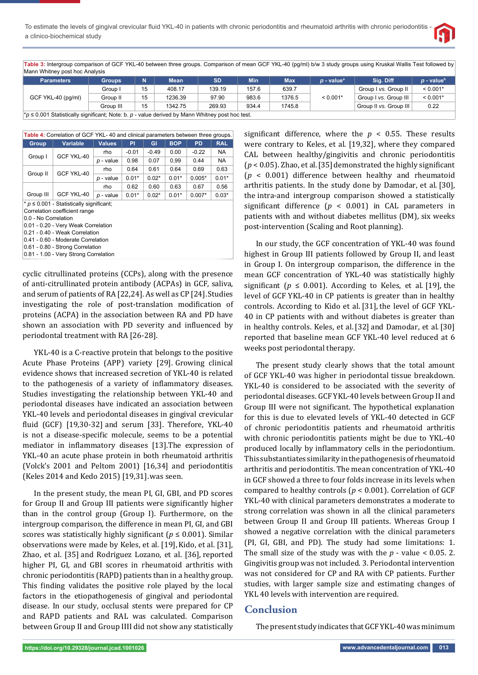

**Table 3:** Intergroup comparison of GCF YKL-40 between three groups. Comparison of mean GCF YKL-40 (pg/ml) b/w 3 study groups using Kruskal Wallis Test followed by Mann Whitney post hoc Analysis

| <b>Parameters</b>                                                                                 | <b>Groups</b> |    | Mean    | <b>SD</b> | Min   | Max.   | $p$ - value <sup>a</sup> | Sia. Diff              | $p$ - value <sup>b</sup> |
|---------------------------------------------------------------------------------------------------|---------------|----|---------|-----------|-------|--------|--------------------------|------------------------|--------------------------|
| GCF YKL-40 (pg/ml)                                                                                | Group I       | 15 | 408.17  | 139.19    | 157.6 | 639.7  | $< 0.001*$               | Group I vs. Group II   | $< 0.001*$               |
|                                                                                                   | Group II      | 15 | 1236.39 | 97.90     | 983.6 | 1376.5 |                          | Group I vs. Group III  | $< 0.001*$               |
|                                                                                                   | Group III     | 15 | 1342.75 | 269.93    | 934.4 | 1745.8 |                          | Group II vs. Group III | 0.22                     |
| $*$ n < 0.001 Statistically significant: Note: b $n-$ value derived by Mann Whitney post boc test |               |    |         |           |       |        |                          |                        |                          |

\**p* ≤ 0.001 Statistically signifi cant; Note: b. *p* - value derived by Mann Whitney post hoc test.

| Table 4: Correlation of GCF YKL- 40 and clinical parameters between three groups.                                                                 |                 |               |         |         |            |           |            |  |
|---------------------------------------------------------------------------------------------------------------------------------------------------|-----------------|---------------|---------|---------|------------|-----------|------------|--|
| <b>Group</b>                                                                                                                                      | <b>Variable</b> | <b>Values</b> | PI      | GI      | <b>BOP</b> | <b>PD</b> | <b>RAL</b> |  |
| Group I                                                                                                                                           | GCF YKL-40      | rho           | $-0.01$ | $-0.49$ | 0.00       | $-0.22$   | NA.        |  |
|                                                                                                                                                   |                 | p - value     | 0.98    | 0.07    | 0.99       | 0.44      | NA.        |  |
| Group II                                                                                                                                          | GCF YKL-40      | rho           | 0.64    | 0.61    | 0.64       | 0.69      | 0.63       |  |
|                                                                                                                                                   |                 | p - value     | $0.01*$ | $0.02*$ | $0.01*$    | $0.005*$  | $0.01*$    |  |
|                                                                                                                                                   |                 | rho           | 0.62    | 0.60    | 0.63       | 0.67      | 0.56       |  |
| Group III                                                                                                                                         | GCF YKL-40      | p - value     | $0.01*$ | $0.02*$ | $0.01*$    | $0.007*$  | $0.03*$    |  |
| $*$ $p \leq 0.001$ - Statistically significant;<br>Correlation coefficient range<br>0.0 - No Correlation<br>0.01 - 0.20 - Very Weak Correlation   |                 |               |         |         |            |           |            |  |
| 0.21 - 0.40 - Weak Correlation<br>0.41 - 0.60 - Moderate Correlation<br>0.61 - 0.80 - Strong Correlation<br>0.81 - 1.00 - Very Strong Correlation |                 |               |         |         |            |           |            |  |

cyclic citrullinated proteins (CCPs), along with the presence of anti-citrullinated protein antibody (ACPAs) in GCF, saliva, and serum of patients of RA [22,24]. As well as CP [24].Studies investigating the role of post-translation modification of proteins (ACPA) in the association between RA and PD have shown an association with PD severity and influenced by periodontal treatment with RA [26-28].

YKL-40 is a C-reactive protein that belongs to the positive Acute Phase Proteins (APP) variety [29]. Growing clinical evidence shows that increased secretion of YKL-40 is related to the pathogenesis of a variety of inflammatory diseases. Studies investigating the relationship between YKL-40 and periodontal diseases have indicated an association between YKL-40 levels and periodontal diseases in gingival crevicular fluid (GCF)  $[19,30-32]$  and serum  $[33]$ . Therefore, YKL-40 is not a disease-specific molecule, seems to be a potential mediator in inflammatory diseases [13]. The expression of YKL-40 an acute phase protein in both rheumatoid arthritis (Volck's 2001 and Peltom 2001) [16,34] and periodontitis (Keles 2014 and Kedo 2015) [19,31].was seen.

In the present study, the mean PI, GI, GBI, and PD scores for Group II and Group III patients were significantly higher than in the control group (Group I). Furthermore, on the intergroup comparison, the difference in mean PI, GI, and GBI scores was statistically highly significant ( $p \leq 0.001$ ). Similar observations were made by Keles, et al. [19],Kido, et al. [31], Zhao, et al. [35] and Rodriguez Lozano, et al. [36], reported higher PI, GI, and GBI scores in rheumatoid arthritis with chronic periodontitis (RAPD) patients than in a healthy group. This finding validates the positive role played by the local factors in the etiopathogenesis of gingival and periodontal disease. In our study, occlusal stents were prepared for CP and RAPD patients and RAL was calculated. Comparison between Group II and Group IIII did not show any statistically significant difference, where the  $p < 0.55$ . These results were contrary to Keles, et al. [19,32], where they compared CAL between healthy/gingivitis and chronic periodontitis  $(p < 0.05)$ . Zhao, et al. [35] demonstrated the highly significant (*p* < 0.001) difference between healthy and rheumatoid arthritis patients. In the study done by Damodar, et al. [30], the intra-and intergroup comparison showed a statistically significant difference  $(p < 0.001)$  in CAL parameters in patients with and without diabetes mellitus (DM), six weeks post-intervention (Scaling and Root planning).

In our study, the GCF concentration of YKL-40 was found highest in Group III patients followed by Group II, and least in Group I. On intergroup comparison, the difference in the mean GCF concentration of YKL-40 was statistically highly significant ( $p \le 0.001$ ). According to Keles, et al. [19], the level of GCF YKL-40 in CP patients is greater than in healthy controls. According to Kido et al. [31], the level of GCF YKL-40 in CP patients with and without diabetes is greater than in healthy controls. Keles, et al. [32] and Damodar, et al. [30] reported that baseline mean GCF YKL-40 level reduced at 6 weeks post periodontal therapy.

The present study clearly shows that the total amount of GCF YKL-40 was higher in periodontal tissue breakdown. YKL-40 is considered to be associated with the severity of periodontal diseases. GCF YKL-40 levels between Group II and Group III were not significant. The hypothetical explanation for this is due to elevated levels of YKL-40 detected in GCF of chronic periodontitis patients and rheumatoid arthritis with chronic periodontitis patients might be due to YKL-40 produced locally by inflammatory cells in the periodontium. This substantiates similarity in the pathogenesis of rheumatoid arthritis and periodontitis. The mean concentration of YKL-40 in GCF showed a three to four folds increase in its levels when compared to healthy controls (*p* < 0.001). Correlation of GCF YKL-40 with clinical parameters demonstrates a moderate to strong correlation was shown in all the clinical parameters between Group II and Group III patients. Whereas Group I showed a negative correlation with the clinical parameters (PI, GI, GBI, and PD). The study had some limitations: 1. The small size of the study was with the *p* - value < 0.05. 2. Gingivitis group was not included. 3. Periodontal intervention was not considered for CP and RA with CP patients. Further studies, with larger sample size and estimating changes of YKL 40 levels with intervention are required.

# **Conclusion**

The present study indicates that GCF YKL-40 was minimum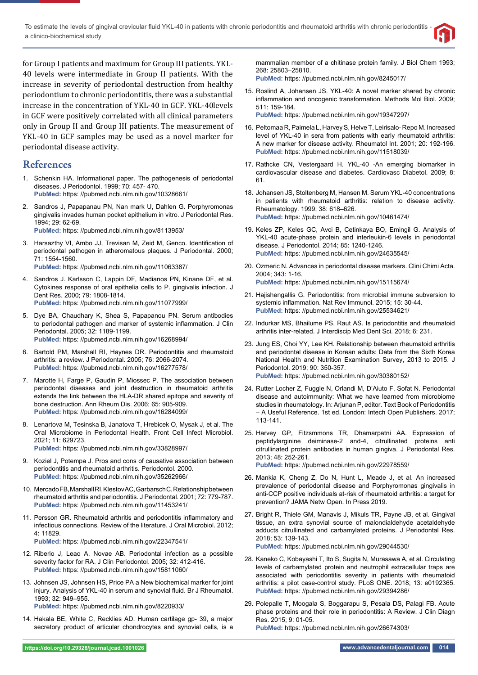To estimate the levels of gingival crevicular fluid YKL-40 in patients with chronic periodontitis and rheumatoid arthritis with chronic periodontitis a clinico-biochemical study



for Group I patients and maximum for Group III patients. YKL-40 levels were intermediate in Group II patients. With the increase in severity of periodontal destruction from healthy periodontium to chronic periodontitis, there was a substantial increase in the concentration of YKL-40 in GCF. YKL-40levels in GCF were positively correlated with all clinical parameters only in Group II and Group III patients. The measurement of YKL-40 in GCF samples may be used as a novel marker for periodontal disease activity.

# **References**

- 1. Schenkin HA. Informational paper. The pathogenesis of periodontal diseases. J Periodontol. 1999; 70: 457- 470. **PubMed:** https: //pubmed.ncbi.nlm.nih.gov/10328661/
- 2. Sandros J, Papapanau PN, Nan mark U, Dahlen G. Porphyromonas gingivalis invades human pocket epithelium in vitro. J Periodontal Res. 1994; 29: 62-69. **PubMed:** https: //pubmed.ncbi.nlm.nih.gov/8113953/
- 3. Harsazthy VI, Ambo JJ, Trevisan M, Zeid M, Genco. Identification of periodontal pathogen in atheromatous plaques. J Periodontal. 2000; 71: 1554-1560. **PubMed:** https: //pubmed.ncbi.nlm.nih.gov/11063387/
- 4. Sandros J. Karlsson C, Lappin DF, Madianos PN, Kinane DF, et al. Cytokines response of oral epithelia cells to P. gingivalis infection. J Dent Res. 2000; 79: 1808-1814.
- **PubMed:** https: //pubmed.ncbi.nlm.nih.gov/11077999/
- 5. Dye BA, Chaudhary K, Shea S, Papapanou PN. Serum antibodies to periodontal pathogen and marker of systemic inflammation. J Clin Periodontal. 2005; 32: 1189-1199. **PubMed:** https: //pubmed.ncbi.nlm.nih.gov/16268994/
- 6. Bartold PM, Marshall RI, Haynes DR. Periodontitis and rheumatoid arthritis: a review. J Periodontal. 2005; 76: 2066-2074. **PubMed:** https: //pubmed.ncbi.nlm.nih.gov/16277578/
- 7. Marotte H, Farge P, Gaudin P, Miossec P. The association between periodontal diseases and joint destruction in rheumatoid arthritis extends the link between the HLA-DR shared epitope and severity of bone destruction. Ann Rheum Dis. 2006; 65: 905-909. **PubMed:** https: //pubmed.ncbi.nlm.nih.gov/16284099/
- 8. Lenartova M, Tesinska B, Janatova T, Hrebicek O, Mysak J, et al. The Oral Microbiome in Periodontal Health. Front Cell Infect Microbiol. 2021; 11: 629723. **PubMed:** https: //pubmed.ncbi.nlm.nih.gov/33828997/
- 9. Koziel J, Potempa J. Pros and cons of causative association between periodontitis and rheumatoid arthritis. Periodontol. 2000. **PubMed:** https: //pubmed.ncbi.nlm.nih.gov/35262966/
- 10. Mercado FB, Marshall RI, Klestov AC, Garbarsch C, Relationship between rheumatoid arthritis and periodontitis. J Periodontal. 2001; 72: 779-787. **PubMed:** https: //pubmed.ncbi.nlm.nih.gov/11453241/
- 11. Persson GR. Rheumatoid arthritis and periodontitis inflammatory and infectious connections. Review of the literature. J Oral Microbiol. 2012; 4: 11829.
	- **PubMed:** https: //pubmed.ncbi.nlm.nih.gov/22347541/
- 12. Riberio J, Leao A. Novae AB. Periodontal infection as a possible severity factor for RA. J Clin Periodontol. 2005; 32: 412-416. **PubMed:** https: //pubmed.ncbi.nlm.nih.gov/15811060/
- 13. Johnsen JS, Johnsen HS, Price PA a New biochemical marker for joint injury. Analysis of YKL-40 in serum and synovial fluid. Br J Rheumatol. 1993; 32: 949–955.

**PubMed:** https: //pubmed.ncbi.nlm.nih.gov/8220933/

14. Hakala BE, White C, Recklies AD. Human cartilage gp- 39, a major secretory product of articular chondrocytes and synovial cells, is a mammalian member of a chitinase protein family. J Biol Chem 1993; 268: 25803–25810.

**PubMed:** https: //pubmed.ncbi.nlm.nih.gov/8245017/

15. Roslind A, Johansen JS. YKL-40: A novel marker shared by chronic inflammation and oncogenic transformation. Methods Mol Biol. 2009; 511: 159-184.

**PubMed:** https: //pubmed.ncbi.nlm.nih.gov/19347297/

- 16. Peltomaa R, Paimela L, Harvey S, Helve T, Leirisalo- Repo M. Increased level of YKL-40 in sera from patients with early rheumatoid arthritis: A new marker for disease activity. Rheumatol Int. 2001; 20: 192-196. **PubMed:** https: //pubmed.ncbi.nlm.nih.gov/11518039/
- 17. Rathcke CN, Vestergaard H. YKL-40 -An emerging biomarker in cardiovascular disease and diabetes. Cardiovasc Diabetol. 2009; 8: 61.
- 18. Johansen JS, Stoltenberg M, Hansen M. Serum YKL-40 concentrations in patients with rheumatoid arthritis: relation to disease activity. Rheumatology. 1999; 38: 618–626. **PubMed:** https: //pubmed.ncbi.nlm.nih.gov/10461474/
- 19. Keles ZP, Keles GC, Avci B, Cetinkaya BO, Emingil G. Analysis of YKL-40 acute-phase protein and interleukin-6 levels in periodontal disease. J Periodontol. 2014; 85: 1240-1246. **PubMed:** https: //pubmed.ncbi.nlm.nih.gov/24635545/
- 20. Ozmeric N. Advances in periodontal disease markers. Clini Chimi Acta. 2004; 343: 1-16. **PubMed:** https: //pubmed.ncbi.nlm.nih.gov/15115674/
- 21. Hajishengallis G. Periodontitis: from microbial immune subversion to systemic inflammation. Nat Rev Immunol. 2015; 15: 30-44. **PubMed:** https: //pubmed.ncbi.nlm.nih.gov/25534621/
- 22. Indurkar MS, Bhailume PS, Raut AS. Is periodontitis and rheumatoid arthritis inter-related. J Interdiscip Med Dent Sci. 2018; 6: 231.
- 23. Jung ES, Choi YY, Lee KH. Relationship between rheumatoid arthritis and periodontal disease in Korean adults: Data from the Sixth Korea National Health and Nutrition Examination Survey, 2013 to 2015. J Periodontol. 2019; 90: 350-357. **PubMed:** https: //pubmed.ncbi.nlm.nih.gov/30380152/
- 24. Rutter Locher Z, Fuggle N, Orlandi M, D'Aiuto F, Sofat N. Periodontal disease and autoimmunity: What we have learned from microbiome studies in rheumatology. In: Arjunan P, editor. Text Book of Periodontitis – A Useful Reference. 1st ed. London: Intech Open Publishers. 2017; 113-141.
- 25. Harvey GP, Fitzsmmons TR, Dhamarpatni AA. Expression of peptidylarginine deiminase-2 and-4, citrullinated proteins anti citrullinated protein antibodies in human gingiva. J Periodontal Res. 2013; 48: 252-261.

**PubMed:** https: //pubmed.ncbi.nlm.nih.gov/22978559/

- 26. Mankia K, Cheng Z, Do N, Hunt L, Meade J, et al. An increased prevalence of periodontal disease and Porphyromonas gingivalis in anti-CCP positive individuals at-risk of rheumatoid arthritis: a target for prevention? JAMA Netw Open. In Press 2019.
- 27. Bright R, Thiele GM, Manavis J, Mikuls TR, Payne JB, et al. Gingival tissue, an extra synovial source of malondialdehyde acetaldehyde adducts citrullinated and carbamylated proteins. J Periodontal Res. 2018; 53: 139-143. **PubMed:** https: //pubmed.ncbi.nlm.nih.gov/29044530/
- 28. Kaneko C, Kobayashi T, Ito S, Sugita N, Murasawa A, et al. Circulating levels of carbamylated protein and neutrophil extracellular traps are associated with periodontitis severity in patients with rheumatoid arthritis: a pilot case-control study. PLoS ONE. 2018; 13: e0192365. **PubMed:** https: //pubmed.ncbi.nlm.nih.gov/29394286/
- 29. Polepalle T, Moogala S, Boggarapu S, Pesala DS, Palagi FB. Acute phase proteins and their role in periodontitis: A Review. J Clin Diagn Res. 2015; 9: 01-05.

**PubMed:** https: //pubmed.ncbi.nlm.nih.gov/26674303/